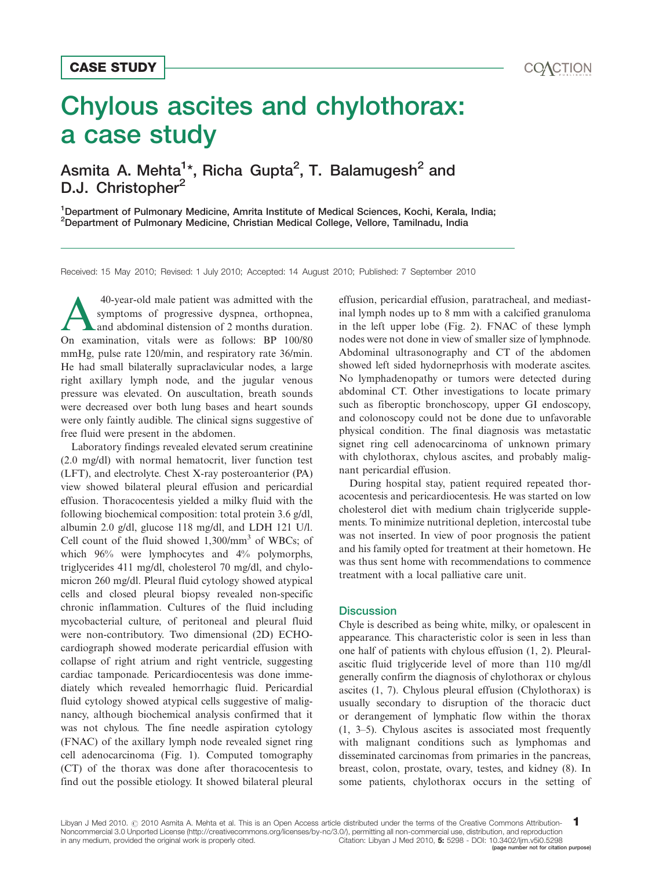# Chylous ascites and chylothorax: a case study CASE STUDY<br>
Chylous ascites and chylothorax:<br>
a case study<br>
Asmita A. Mehta<sup>1\*</sup>, Richa Gupta<sup>2</sup>, T. Balamugesh<sup>2</sup> and

# Asmita A. Mehta<sup>1</sup>\*, Richa Gupta<sup>2</sup>, T. Balamugesh<sup>2</sup> and D.J. Christopher<sup>2</sup>

<sup>1</sup>Department of Pulmonary Medicine, Amrita Institute of Medical Sciences, Kochi, Kerala, India; 2 Department of Pulmonary Medicine, Christian Medical College, Vellore, Tamilnadu, India

Received: 15 May 2010; Revised: 1 July 2010; Accepted: 14 August 2010; Published: 7 September 2010

40-year-old male patient was admitted with the<br>symptoms of progressive dyspnea, orthopnea,<br>and abdominal distension of 2 months duration.<br>On examination, witak were as follows: BP 100/80 symptoms of progressive dyspnea, orthopnea, On examination, vitals were as follows: BP 100/80 mmHg, pulse rate 120/min, and respiratory rate 36/min. He had small bilaterally supraclavicular nodes, a large right axillary lymph node, and the jugular venous pressure was elevated. On auscultation, breath sounds were decreased over both lung bases and heart sounds were only faintly audible. The clinical signs suggestive of free fluid were present in the abdomen.

Laboratory findings revealed elevated serum creatinine (2.0 mg/dl) with normal hematocrit, liver function test (LFT), and electrolyte. Chest X-ray posteroanterior (PA) view showed bilateral pleural effusion and pericardial effusion. Thoracocentesis yielded a milky fluid with the following biochemical composition: total protein 3.6 g/dl, albumin 2.0 g/dl, glucose 118 mg/dl, and LDH 121 U/l. Cell count of the fluid showed  $1,300/\text{mm}^3$  of WBCs; of which 96% were lymphocytes and 4% polymorphs, triglycerides 411 mg/dl, cholesterol 70 mg/dl, and chylomicron 260 mg/dl. Pleural fluid cytology showed atypical cells and closed pleural biopsy revealed non-specific chronic inflammation. Cultures of the fluid including mycobacterial culture, of peritoneal and pleural fluid were non-contributory. Two dimensional (2D) ECHOcardiograph showed moderate pericardial effusion with collapse of right atrium and right ventricle, suggesting cardiac tamponade. Pericardiocentesis was done immediately which revealed hemorrhagic fluid. Pericardial fluid cytology showed atypical cells suggestive of malignancy, although biochemical analysis confirmed that it was not chylous. The fine needle aspiration cytology (FNAC) of the axillary lymph node revealed signet ring cell adenocarcinoma (Fig. 1). Computed tomography (CT) of the thorax was done after thoracocentesis to find out the possible etiology. It showed bilateral pleural

effusion, pericardial effusion, paratracheal, and mediastinal lymph nodes up to 8 mm with a calcified granuloma in the left upper lobe (Fig. 2). FNAC of these lymph nodes were not done in view of smaller size of lymphnode. Abdominal ultrasonography and CT of the abdomen showed left sided hydorneprhosis with moderate ascites. No lymphadenopathy or tumors were detected during abdominal CT. Other investigations to locate primary such as fiberoptic bronchoscopy, upper GI endoscopy, and colonoscopy could not be done due to unfavorable physical condition. The final diagnosis was metastatic signet ring cell adenocarcinoma of unknown primary with chylothorax, chylous ascites, and probably malignant pericardial effusion.

During hospital stay, patient required repeated thoracocentesis and pericardiocentesis. He was started on low cholesterol diet with medium chain triglyceride supplements. To minimize nutritional depletion, intercostal tube was not inserted. In view of poor prognosis the patient and his family opted for treatment at their hometown. He was thus sent home with recommendations to commence treatment with a local palliative care unit.

### **Discussion**

Chyle is described as being white, milky, or opalescent in appearance. This characteristic color is seen in less than one half of patients with chylous effusion (1, 2). Pleuralascitic fluid triglyceride level of more than 110 mg/dl generally confirm the diagnosis of chylothorax or chylous ascites (1, 7). Chylous pleural effusion (Chylothorax) is usually secondary to disruption of the thoracic duct or derangement of lymphatic flow within the thorax  $(1, 3-5)$ . Chylous ascites is associated most frequently with malignant conditions such as lymphomas and disseminated carcinomas from primaries in the pancreas, breast, colon, prostate, ovary, testes, and kidney (8). In some patients, chylothorax occurs in the setting of